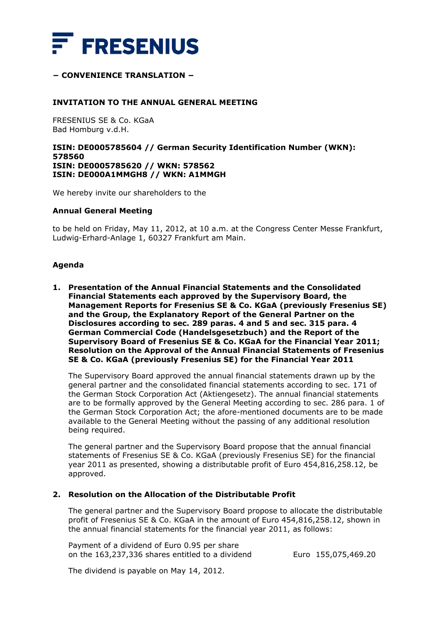

# **− CONVENIENCE TRANSLATION −**

### **INVITATION TO THE ANNUAL GENERAL MEETING**

FRESENIUS SE & Co. KGaA Bad Homburg v.d.H.

### **ISIN: DE0005785604 // German Security Identification Number (WKN): 578560 ISIN: DE0005785620 // WKN: 578562 ISIN: DE000A1MMGH8 // WKN: A1MMGH**

We hereby invite our shareholders to the

#### **Annual General Meeting**

to be held on Friday, May 11, 2012, at 10 a.m. at the Congress Center Messe Frankfurt, Ludwig-Erhard-Anlage 1, 60327 Frankfurt am Main.

#### **Agenda**

**1. Presentation of the Annual Financial Statements and the Consolidated Financial Statements each approved by the Supervisory Board, the Management Reports for Fresenius SE & Co. KGaA (previously Fresenius SE) and the Group, the Explanatory Report of the General Partner on the Disclosures according to sec. 289 paras. 4 and 5 and sec. 315 para. 4 German Commercial Code (***Handelsgesetzbuch***) and the Report of the Supervisory Board of Fresenius SE & Co. KGaA for the Financial Year 2011; Resolution on the Approval of the Annual Financial Statements of Fresenius SE & Co. KGaA (previously Fresenius SE) for the Financial Year 2011** 

The Supervisory Board approved the annual financial statements drawn up by the general partner and the consolidated financial statements according to sec. 171 of the German Stock Corporation Act (*Aktiengesetz*). The annual financial statements are to be formally approved by the General Meeting according to sec. 286 para. 1 of the German Stock Corporation Act; the afore-mentioned documents are to be made available to the General Meeting without the passing of any additional resolution being required.

The general partner and the Supervisory Board propose that the annual financial statements of Fresenius SE & Co. KGaA (previously Fresenius SE) for the financial year 2011 as presented, showing a distributable profit of Euro 454,816,258.12, be approved.

# **2. Resolution on the Allocation of the Distributable Profit**

The general partner and the Supervisory Board propose to allocate the distributable profit of Fresenius SE & Co. KGaA in the amount of Euro 454,816,258.12, shown in the annual financial statements for the financial year 2011, as follows:

Payment of a dividend of Euro 0.95 per share on the  $163,237,336$  shares entitled to a dividend Euro  $155,075,469.20$ 

The dividend is payable on May 14, 2012.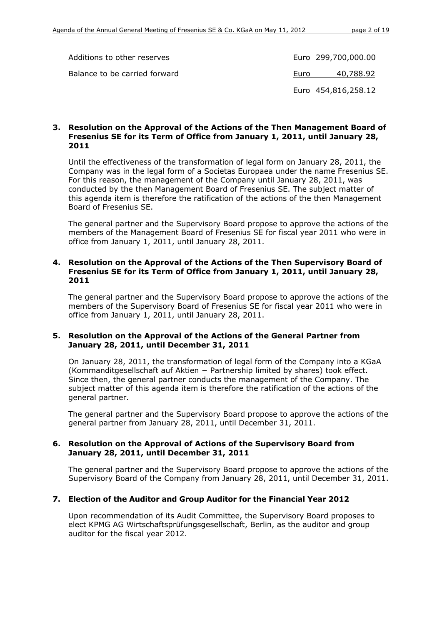| Additions to other reserves   | Euro 299,700,000.00 |
|-------------------------------|---------------------|
| Balance to be carried forward | 40,788.92<br>Euro   |
|                               | Euro 454,816,258.12 |

### **3. Resolution on the Approval of the Actions of the Then Management Board of Fresenius SE for its Term of Office from January 1, 2011, until January 28, 2011**

Until the effectiveness of the transformation of legal form on January 28, 2011, the Company was in the legal form of a Societas Europaea under the name Fresenius SE. For this reason, the management of the Company until January 28, 2011, was conducted by the then Management Board of Fresenius SE. The subject matter of this agenda item is therefore the ratification of the actions of the then Management Board of Fresenius SE.

The general partner and the Supervisory Board propose to approve the actions of the members of the Management Board of Fresenius SE for fiscal year 2011 who were in office from January 1, 2011, until January 28, 2011.

# **4. Resolution on the Approval of the Actions of the Then Supervisory Board of Fresenius SE for its Term of Office from January 1, 2011, until January 28, 2011**

The general partner and the Supervisory Board propose to approve the actions of the members of the Supervisory Board of Fresenius SE for fiscal year 2011 who were in office from January 1, 2011, until January 28, 2011.

# **5. Resolution on the Approval of the Actions of the General Partner from January 28, 2011, until December 31, 2011**

On January 28, 2011, the transformation of legal form of the Company into a KGaA (Kommanditgesellschaft auf Aktien − Partnership limited by shares) took effect. Since then, the general partner conducts the management of the Company. The subject matter of this agenda item is therefore the ratification of the actions of the general partner.

The general partner and the Supervisory Board propose to approve the actions of the general partner from January 28, 2011, until December 31, 2011.

### **6. Resolution on the Approval of Actions of the Supervisory Board from January 28, 2011, until December 31, 2011**

The general partner and the Supervisory Board propose to approve the actions of the Supervisory Board of the Company from January 28, 2011, until December 31, 2011.

# **7. Election of the Auditor and Group Auditor for the Financial Year 2012**

Upon recommendation of its Audit Committee, the Supervisory Board proposes to elect KPMG AG Wirtschaftsprüfungsgesellschaft, Berlin, as the auditor and group auditor for the fiscal year 2012.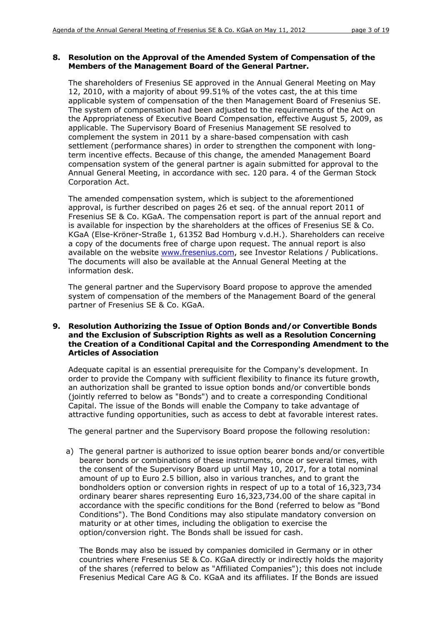### **8. Resolution on the Approval of the Amended System of Compensation of the Members of the Management Board of the General Partner.**

The shareholders of Fresenius SE approved in the Annual General Meeting on May 12, 2010, with a majority of about 99.51% of the votes cast, the at this time applicable system of compensation of the then Management Board of Fresenius SE. The system of compensation had been adjusted to the requirements of the Act on the Appropriateness of Executive Board Compensation, effective August 5, 2009, as applicable. The Supervisory Board of Fresenius Management SE resolved to complement the system in 2011 by a share-based compensation with cash settlement (performance shares) in order to strengthen the component with longterm incentive effects. Because of this change, the amended Management Board compensation system of the general partner is again submitted for approval to the Annual General Meeting, in accordance with sec. 120 para. 4 of the German Stock Corporation Act.

The amended compensation system, which is subject to the aforementioned approval, is further described on pages 26 et seq. of the annual report 2011 of Fresenius SE & Co. KGaA. The compensation report is part of the annual report and is available for inspection by the shareholders at the offices of Fresenius SE & Co. KGaA (Else-Kröner-Straße 1, 61352 Bad Homburg v.d.H.). Shareholders can receive a copy of the documents free of charge upon request. The annual report is also available on the website [www.fresenius.com,](http://www.fresenius.com/) see Investor Relations / Publications. The documents will also be available at the Annual General Meeting at the information desk.

The general partner and the Supervisory Board propose to approve the amended system of compensation of the members of the Management Board of the general partner of Fresenius SE & Co. KGaA.

# **9. Resolution Authorizing the Issue of Option Bonds and/or Convertible Bonds and the Exclusion of Subscription Rights as well as a Resolution Concerning the Creation of a Conditional Capital and the Corresponding Amendment to the Articles of Association**

Adequate capital is an essential prerequisite for the Company's development. In order to provide the Company with sufficient flexibility to finance its future growth, an authorization shall be granted to issue option bonds and/or convertible bonds (jointly referred to below as "Bonds") and to create a corresponding Conditional Capital. The issue of the Bonds will enable the Company to take advantage of attractive funding opportunities, such as access to debt at favorable interest rates.

The general partner and the Supervisory Board propose the following resolution:

a) The general partner is authorized to issue option bearer bonds and/or convertible bearer bonds or combinations of these instruments, once or several times, with the consent of the Supervisory Board up until May 10, 2017, for a total nominal amount of up to Euro 2.5 billion, also in various tranches, and to grant the bondholders option or conversion rights in respect of up to a total of 16,323,734 ordinary bearer shares representing Euro 16,323,734.00 of the share capital in accordance with the specific conditions for the Bond (referred to below as "Bond Conditions"). The Bond Conditions may also stipulate mandatory conversion on maturity or at other times, including the obligation to exercise the option/conversion right. The Bonds shall be issued for cash.

The Bonds may also be issued by companies domiciled in Germany or in other countries where Fresenius SE & Co. KGaA directly or indirectly holds the majority of the shares (referred to below as "Affiliated Companies"); this does not include Fresenius Medical Care AG & Co. KGaA and its affiliates. If the Bonds are issued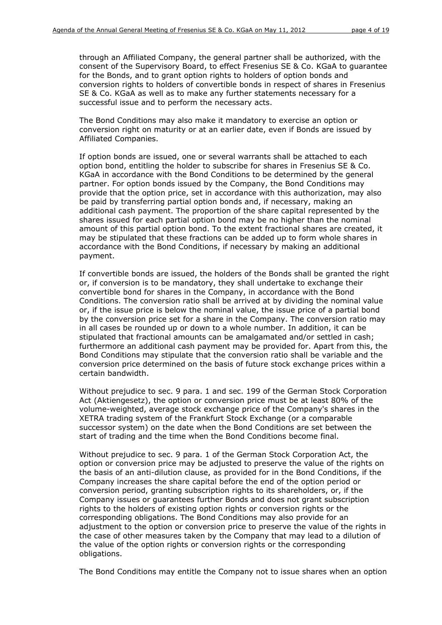through an Affiliated Company, the general partner shall be authorized, with the consent of the Supervisory Board, to effect Fresenius SE & Co. KGaA to guarantee for the Bonds, and to grant option rights to holders of option bonds and conversion rights to holders of convertible bonds in respect of shares in Fresenius SE & Co. KGaA as well as to make any further statements necessary for a successful issue and to perform the necessary acts.

The Bond Conditions may also make it mandatory to exercise an option or conversion right on maturity or at an earlier date, even if Bonds are issued by Affiliated Companies.

If option bonds are issued, one or several warrants shall be attached to each option bond, entitling the holder to subscribe for shares in Fresenius SE & Co. KGaA in accordance with the Bond Conditions to be determined by the general partner. For option bonds issued by the Company, the Bond Conditions may provide that the option price, set in accordance with this authorization, may also be paid by transferring partial option bonds and, if necessary, making an additional cash payment. The proportion of the share capital represented by the shares issued for each partial option bond may be no higher than the nominal amount of this partial option bond. To the extent fractional shares are created, it may be stipulated that these fractions can be added up to form whole shares in accordance with the Bond Conditions, if necessary by making an additional payment.

If convertible bonds are issued, the holders of the Bonds shall be granted the right or, if conversion is to be mandatory, they shall undertake to exchange their convertible bond for shares in the Company, in accordance with the Bond Conditions. The conversion ratio shall be arrived at by dividing the nominal value or, if the issue price is below the nominal value, the issue price of a partial bond by the conversion price set for a share in the Company. The conversion ratio may in all cases be rounded up or down to a whole number. In addition, it can be stipulated that fractional amounts can be amalgamated and/or settled in cash; furthermore an additional cash payment may be provided for. Apart from this, the Bond Conditions may stipulate that the conversion ratio shall be variable and the conversion price determined on the basis of future stock exchange prices within a certain bandwidth.

Without prejudice to sec. 9 para. 1 and sec. 199 of the German Stock Corporation Act (*Aktiengesetz*), the option or conversion price must be at least 80% of the volume-weighted, average stock exchange price of the Company's shares in the XETRA trading system of the Frankfurt Stock Exchange (or a comparable successor system) on the date when the Bond Conditions are set between the start of trading and the time when the Bond Conditions become final.

Without prejudice to sec. 9 para. 1 of the German Stock Corporation Act, the option or conversion price may be adjusted to preserve the value of the rights on the basis of an anti-dilution clause, as provided for in the Bond Conditions, if the Company increases the share capital before the end of the option period or conversion period, granting subscription rights to its shareholders, or, if the Company issues or guarantees further Bonds and does not grant subscription rights to the holders of existing option rights or conversion rights or the corresponding obligations. The Bond Conditions may also provide for an adjustment to the option or conversion price to preserve the value of the rights in the case of other measures taken by the Company that may lead to a dilution of the value of the option rights or conversion rights or the corresponding obligations.

The Bond Conditions may entitle the Company not to issue shares when an option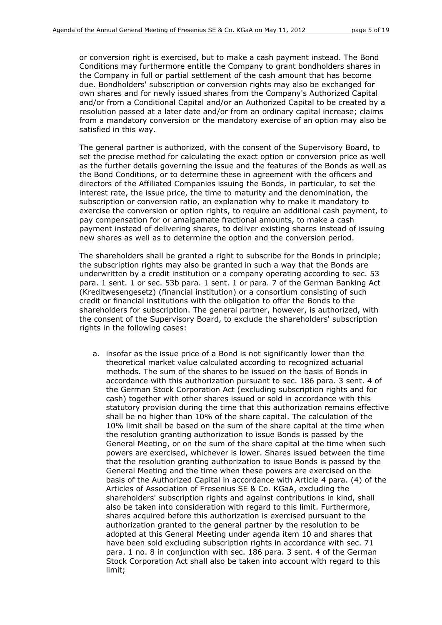or conversion right is exercised, but to make a cash payment instead. The Bond Conditions may furthermore entitle the Company to grant bondholders shares in the Company in full or partial settlement of the cash amount that has become due. Bondholders' subscription or conversion rights may also be exchanged for own shares and for newly issued shares from the Company's Authorized Capital and/or from a Conditional Capital and/or an Authorized Capital to be created by a resolution passed at a later date and/or from an ordinary capital increase; claims from a mandatory conversion or the mandatory exercise of an option may also be satisfied in this way.

The general partner is authorized, with the consent of the Supervisory Board, to set the precise method for calculating the exact option or conversion price as well as the further details governing the issue and the features of the Bonds as well as the Bond Conditions, or to determine these in agreement with the officers and directors of the Affiliated Companies issuing the Bonds, in particular, to set the interest rate, the issue price, the time to maturity and the denomination, the subscription or conversion ratio, an explanation why to make it mandatory to exercise the conversion or option rights, to require an additional cash payment, to pay compensation for or amalgamate fractional amounts, to make a cash payment instead of delivering shares, to deliver existing shares instead of issuing new shares as well as to determine the option and the conversion period.

The shareholders shall be granted a right to subscribe for the Bonds in principle; the subscription rights may also be granted in such a way that the Bonds are underwritten by a credit institution or a company operating according to sec. 53 para. 1 sent. 1 or sec. 53b para. 1 sent. 1 or para. 7 of the German Banking Act (*Kreditwesengesetz*) (financial institution) or a consortium consisting of such credit or financial institutions with the obligation to offer the Bonds to the shareholders for subscription. The general partner, however, is authorized, with the consent of the Supervisory Board, to exclude the shareholders' subscription rights in the following cases:

a. insofar as the issue price of a Bond is not significantly lower than the theoretical market value calculated according to recognized actuarial methods. The sum of the shares to be issued on the basis of Bonds in accordance with this authorization pursuant to sec. 186 para. 3 sent. 4 of the German Stock Corporation Act (excluding subscription rights and for cash) together with other shares issued or sold in accordance with this statutory provision during the time that this authorization remains effective shall be no higher than 10% of the share capital. The calculation of the 10% limit shall be based on the sum of the share capital at the time when the resolution granting authorization to issue Bonds is passed by the General Meeting, or on the sum of the share capital at the time when such powers are exercised, whichever is lower. Shares issued between the time that the resolution granting authorization to issue Bonds is passed by the General Meeting and the time when these powers are exercised on the basis of the Authorized Capital in accordance with Article 4 para. (4) of the Articles of Association of Fresenius SE & Co. KGaA, excluding the shareholders' subscription rights and against contributions in kind, shall also be taken into consideration with regard to this limit. Furthermore, shares acquired before this authorization is exercised pursuant to the authorization granted to the general partner by the resolution to be adopted at this General Meeting under agenda item 10 and shares that have been sold excluding subscription rights in accordance with sec. 71 para. 1 no. 8 in conjunction with sec. 186 para. 3 sent. 4 of the German Stock Corporation Act shall also be taken into account with regard to this limit;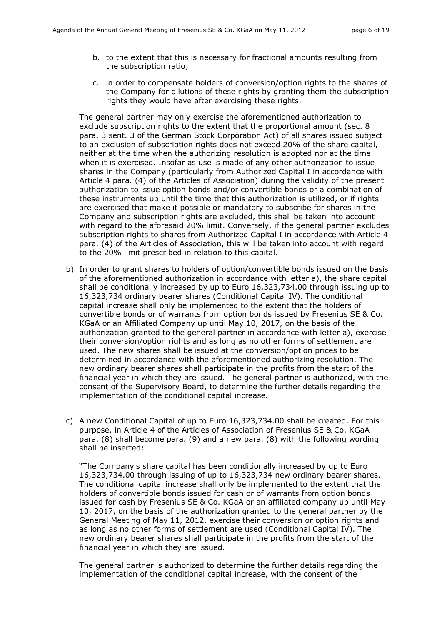- b. to the extent that this is necessary for fractional amounts resulting from the subscription ratio;
- c. in order to compensate holders of conversion/option rights to the shares of the Company for dilutions of these rights by granting them the subscription rights they would have after exercising these rights.

The general partner may only exercise the aforementioned authorization to exclude subscription rights to the extent that the proportional amount (sec. 8 para. 3 sent. 3 of the German Stock Corporation Act) of all shares issued subject to an exclusion of subscription rights does not exceed 20% of the share capital, neither at the time when the authorizing resolution is adopted nor at the time when it is exercised. Insofar as use is made of any other authorization to issue shares in the Company (particularly from Authorized Capital I in accordance with Article 4 para. (4) of the Articles of Association) during the validity of the present authorization to issue option bonds and/or convertible bonds or a combination of these instruments up until the time that this authorization is utilized, or if rights are exercised that make it possible or mandatory to subscribe for shares in the Company and subscription rights are excluded, this shall be taken into account with regard to the aforesaid 20% limit. Conversely, if the general partner excludes subscription rights to shares from Authorized Capital I in accordance with Article 4 para. (4) of the Articles of Association, this will be taken into account with regard to the 20% limit prescribed in relation to this capital.

- b) In order to grant shares to holders of option/convertible bonds issued on the basis of the aforementioned authorization in accordance with letter a), the share capital shall be conditionally increased by up to Euro 16,323,734.00 through issuing up to 16,323,734 ordinary bearer shares (Conditional Capital IV). The conditional capital increase shall only be implemented to the extent that the holders of convertible bonds or of warrants from option bonds issued by Fresenius SE & Co. KGaA or an Affiliated Company up until May 10, 2017, on the basis of the authorization granted to the general partner in accordance with letter a), exercise their conversion/option rights and as long as no other forms of settlement are used. The new shares shall be issued at the conversion/option prices to be determined in accordance with the aforementioned authorizing resolution. The new ordinary bearer shares shall participate in the profits from the start of the financial year in which they are issued. The general partner is authorized, with the consent of the Supervisory Board, to determine the further details regarding the implementation of the conditional capital increase.
- c) A new Conditional Capital of up to Euro 16,323,734.00 shall be created. For this purpose, in Article 4 of the Articles of Association of Fresenius SE & Co. KGaA para. (8) shall become para. (9) and a new para. (8) with the following wording shall be inserted:

"The Company's share capital has been conditionally increased by up to Euro 16,323,734.00 through issuing of up to 16,323,734 new ordinary bearer shares. The conditional capital increase shall only be implemented to the extent that the holders of convertible bonds issued for cash or of warrants from option bonds issued for cash by Fresenius SE & Co. KGaA or an affiliated company up until May 10, 2017, on the basis of the authorization granted to the general partner by the General Meeting of May 11, 2012, exercise their conversion or option rights and as long as no other forms of settlement are used (Conditional Capital IV). The new ordinary bearer shares shall participate in the profits from the start of the financial year in which they are issued.

The general partner is authorized to determine the further details regarding the implementation of the conditional capital increase, with the consent of the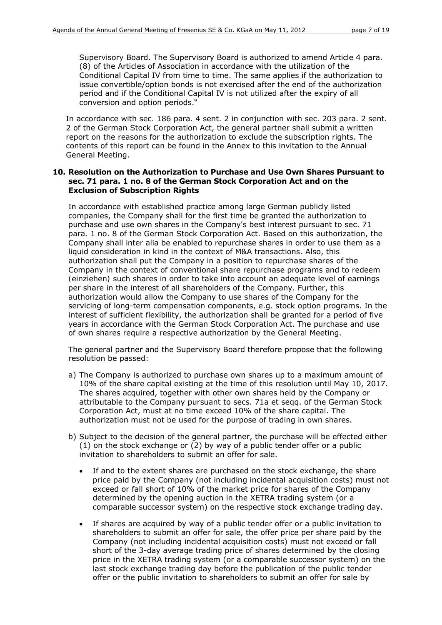Supervisory Board. The Supervisory Board is authorized to amend Article 4 para. (8) of the Articles of Association in accordance with the utilization of the Conditional Capital IV from time to time. The same applies if the authorization to issue convertible/option bonds is not exercised after the end of the authorization period and if the Conditional Capital IV is not utilized after the expiry of all conversion and option periods."

In accordance with sec. 186 para. 4 sent. 2 in conjunction with sec. 203 para. 2 sent. 2 of the German Stock Corporation Act, the general partner shall submit a written report on the reasons for the authorization to exclude the subscription rights. The contents of this report can be found in the Annex to this invitation to the Annual General Meeting.

# **10. Resolution on the Authorization to Purchase and Use Own Shares Pursuant to sec. 71 para. 1 no. 8 of the German Stock Corporation Act and on the Exclusion of Subscription Rights**

In accordance with established practice among large German publicly listed companies, the Company shall for the first time be granted the authorization to purchase and use own shares in the Company's best interest pursuant to sec. 71 para. 1 no. 8 of the German Stock Corporation Act. Based on this authorization, the Company shall inter alia be enabled to repurchase shares in order to use them as a liquid consideration in kind in the context of M&A transactions. Also, this authorization shall put the Company in a position to repurchase shares of the Company in the context of conventional share repurchase programs and to redeem *(einziehen)* such shares in order to take into account an adequate level of earnings per share in the interest of all shareholders of the Company. Further, this authorization would allow the Company to use shares of the Company for the servicing of long-term compensation components, e.g. stock option programs. In the interest of sufficient flexibility, the authorization shall be granted for a period of five years in accordance with the German Stock Corporation Act. The purchase and use of own shares require a respective authorization by the General Meeting.

The general partner and the Supervisory Board therefore propose that the following resolution be passed:

- a) The Company is authorized to purchase own shares up to a maximum amount of 10% of the share capital existing at the time of this resolution until May 10, 2017. The shares acquired, together with other own shares held by the Company or attributable to the Company pursuant to secs. 71a et seqq. of the German Stock Corporation Act, must at no time exceed 10% of the share capital. The authorization must not be used for the purpose of trading in own shares.
- b) Subject to the decision of the general partner, the purchase will be effected either (1) on the stock exchange or (2) by way of a public tender offer or a public invitation to shareholders to submit an offer for sale.
	- If and to the extent shares are purchased on the stock exchange, the share price paid by the Company (not including incidental acquisition costs) must not exceed or fall short of 10% of the market price for shares of the Company determined by the opening auction in the XETRA trading system (or a comparable successor system) on the respective stock exchange trading day.
	- If shares are acquired by way of a public tender offer or a public invitation to shareholders to submit an offer for sale, the offer price per share paid by the Company (not including incidental acquisition costs) must not exceed or fall short of the 3-day average trading price of shares determined by the closing price in the XETRA trading system (or a comparable successor system) on the last stock exchange trading day before the publication of the public tender offer or the public invitation to shareholders to submit an offer for sale by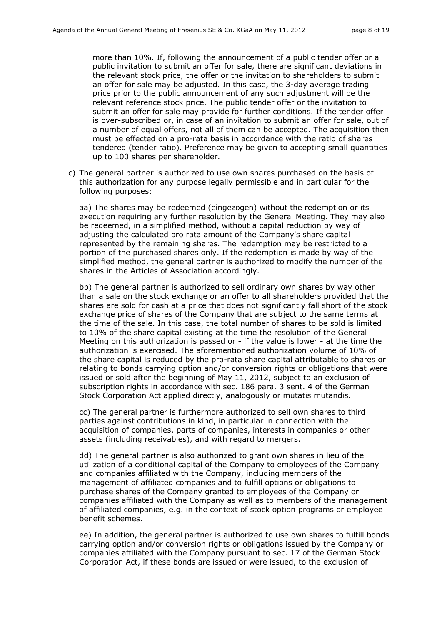more than 10%. If, following the announcement of a public tender offer or a public invitation to submit an offer for sale, there are significant deviations in the relevant stock price, the offer or the invitation to shareholders to submit an offer for sale may be adjusted. In this case, the 3-day average trading price prior to the public announcement of any such adjustment will be the relevant reference stock price. The public tender offer or the invitation to submit an offer for sale may provide for further conditions. If the tender offer is over-subscribed or, in case of an invitation to submit an offer for sale, out of a number of equal offers, not all of them can be accepted. The acquisition then must be effected on a pro-rata basis in accordance with the ratio of shares tendered (tender ratio). Preference may be given to accepting small quantities up to 100 shares per shareholder.

c) The general partner is authorized to use own shares purchased on the basis of this authorization for any purpose legally permissible and in particular for the following purposes:

aa) The shares may be redeemed (*eingezogen*) without the redemption or its execution requiring any further resolution by the General Meeting. They may also be redeemed, in a simplified method, without a capital reduction by way of adjusting the calculated pro rata amount of the Company's share capital represented by the remaining shares. The redemption may be restricted to a portion of the purchased shares only. If the redemption is made by way of the simplified method, the general partner is authorized to modify the number of the shares in the Articles of Association accordingly.

bb) The general partner is authorized to sell ordinary own shares by way other than a sale on the stock exchange or an offer to all shareholders provided that the shares are sold for cash at a price that does not significantly fall short of the stock exchange price of shares of the Company that are subject to the same terms at the time of the sale. In this case, the total number of shares to be sold is limited to 10% of the share capital existing at the time the resolution of the General Meeting on this authorization is passed or - if the value is lower - at the time the authorization is exercised. The aforementioned authorization volume of 10% of the share capital is reduced by the pro-rata share capital attributable to shares or relating to bonds carrying option and/or conversion rights or obligations that were issued or sold after the beginning of May 11, 2012, subject to an exclusion of subscription rights in accordance with sec. 186 para. 3 sent. 4 of the German Stock Corporation Act applied directly, analogously or mutatis mutandis.

cc) The general partner is furthermore authorized to sell own shares to third parties against contributions in kind, in particular in connection with the acquisition of companies, parts of companies, interests in companies or other assets (including receivables), and with regard to mergers.

dd) The general partner is also authorized to grant own shares in lieu of the utilization of a conditional capital of the Company to employees of the Company and companies affiliated with the Company, including members of the management of affiliated companies and to fulfill options or obligations to purchase shares of the Company granted to employees of the Company or companies affiliated with the Company as well as to members of the management of affiliated companies, e.g. in the context of stock option programs or employee benefit schemes.

ee) In addition, the general partner is authorized to use own shares to fulfill bonds carrying option and/or conversion rights or obligations issued by the Company or companies affiliated with the Company pursuant to sec. 17 of the German Stock Corporation Act, if these bonds are issued or were issued, to the exclusion of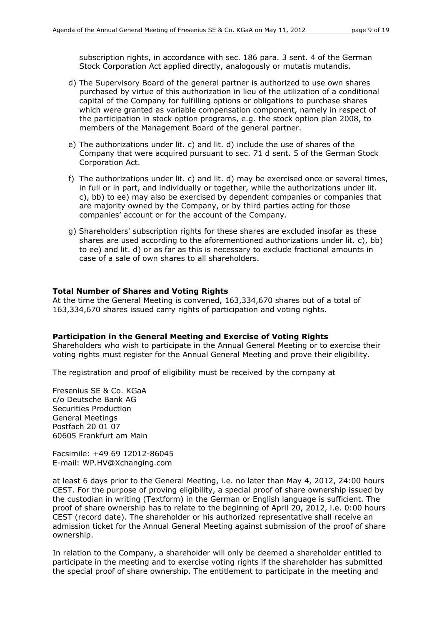subscription rights, in accordance with sec. 186 para. 3 sent. 4 of the German Stock Corporation Act applied directly, analogously or mutatis mutandis.

- d) The Supervisory Board of the general partner is authorized to use own shares purchased by virtue of this authorization in lieu of the utilization of a conditional capital of the Company for fulfilling options or obligations to purchase shares which were granted as variable compensation component, namely in respect of the participation in stock option programs, e.g. the stock option plan 2008, to members of the Management Board of the general partner.
- e) The authorizations under lit. c) and lit. d) include the use of shares of the Company that were acquired pursuant to sec. 71 d sent. 5 of the German Stock Corporation Act.
- f) The authorizations under lit. c) and lit. d) may be exercised once or several times, in full or in part, and individually or together, while the authorizations under lit. c), bb) to ee) may also be exercised by dependent companies or companies that are majority owned by the Company, or by third parties acting for those companies' account or for the account of the Company.
- g) Shareholders' subscription rights for these shares are excluded insofar as these shares are used according to the aforementioned authorizations under lit. c), bb) to ee) and lit. d) or as far as this is necessary to exclude fractional amounts in case of a sale of own shares to all shareholders.

#### **Total Number of Shares and Voting Rights**

At the time the General Meeting is convened, 163,334,670 shares out of a total of 163,334,670 shares issued carry rights of participation and voting rights.

#### **Participation in the General Meeting and Exercise of Voting Rights**

Shareholders who wish to participate in the Annual General Meeting or to exercise their voting rights must register for the Annual General Meeting and prove their eligibility.

The registration and proof of eligibility must be received by the company at

Fresenius SE & Co. KGaA c/o Deutsche Bank AG Securities Production General Meetings Postfach 20 01 07 60605 Frankfurt am Main

Facsimile: +49 69 12012-86045 E-mail: WP.HV@Xchanging.com

at least 6 days prior to the General Meeting, i.e. no later than May 4, 2012, 24:00 hours CEST. For the purpose of proving eligibility, a special proof of share ownership issued by the custodian in writing (*Textform*) in the German or English language is sufficient. The proof of share ownership has to relate to the beginning of April 20, 2012, i.e. 0:00 hours CEST (record date). The shareholder or his authorized representative shall receive an admission ticket for the Annual General Meeting against submission of the proof of share ownership.

In relation to the Company, a shareholder will only be deemed a shareholder entitled to participate in the meeting and to exercise voting rights if the shareholder has submitted the special proof of share ownership. The entitlement to participate in the meeting and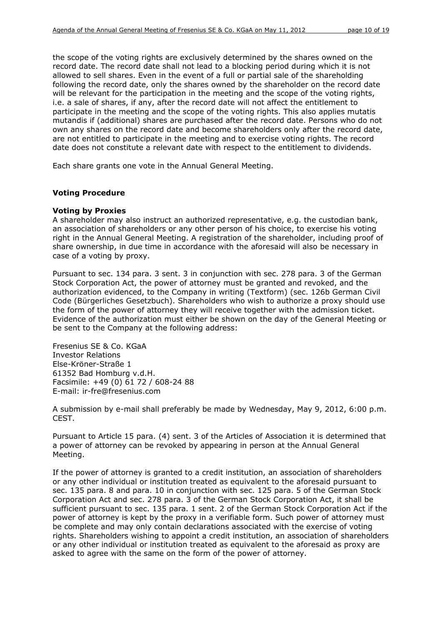the scope of the voting rights are exclusively determined by the shares owned on the record date. The record date shall not lead to a blocking period during which it is not allowed to sell shares. Even in the event of a full or partial sale of the shareholding following the record date, only the shares owned by the shareholder on the record date will be relevant for the participation in the meeting and the scope of the voting rights, i.e. a sale of shares, if any, after the record date will not affect the entitlement to participate in the meeting and the scope of the voting rights. This also applies mutatis mutandis if (additional) shares are purchased after the record date. Persons who do not own any shares on the record date and become shareholders only after the record date, are not entitled to participate in the meeting and to exercise voting rights. The record date does not constitute a relevant date with respect to the entitlement to dividends.

Each share grants one vote in the Annual General Meeting.

### **Voting Procedure**

#### *Voting by Proxies*

A shareholder may also instruct an authorized representative, e.g. the custodian bank, an association of shareholders or any other person of his choice, to exercise his voting right in the Annual General Meeting. A registration of the shareholder, including proof of share ownership, in due time in accordance with the aforesaid will also be necessary in case of a voting by proxy.

Pursuant to sec. 134 para. 3 sent. 3 in conjunction with sec. 278 para. 3 of the German Stock Corporation Act, the power of attorney must be granted and revoked, and the authorization evidenced, to the Company in writing (*Textform*) (sec. 126b German Civil Code (*Bürgerliches Gesetzbuch*). Shareholders who wish to authorize a proxy should use the form of the power of attorney they will receive together with the admission ticket. Evidence of the authorization must either be shown on the day of the General Meeting or be sent to the Company at the following address:

Fresenius SE & Co. KGaA Investor Relations Else-Kröner-Straße 1 61352 Bad Homburg v.d.H. Facsimile: +49 (0) 61 72 / 608-24 88 E-mail: ir-fre@fresenius.com

A submission by e-mail shall preferably be made by Wednesday, May 9, 2012, 6:00 p.m. CEST.

Pursuant to Article 15 para. (4) sent. 3 of the Articles of Association it is determined that a power of attorney can be revoked by appearing in person at the Annual General Meeting.

If the power of attorney is granted to a credit institution, an association of shareholders or any other individual or institution treated as equivalent to the aforesaid pursuant to sec. 135 para. 8 and para. 10 in conjunction with sec. 125 para. 5 of the German Stock Corporation Act and sec. 278 para. 3 of the German Stock Corporation Act, it shall be sufficient pursuant to sec. 135 para. 1 sent. 2 of the German Stock Corporation Act if the power of attorney is kept by the proxy in a verifiable form. Such power of attorney must be complete and may only contain declarations associated with the exercise of voting rights. Shareholders wishing to appoint a credit institution, an association of shareholders or any other individual or institution treated as equivalent to the aforesaid as proxy are asked to agree with the same on the form of the power of attorney.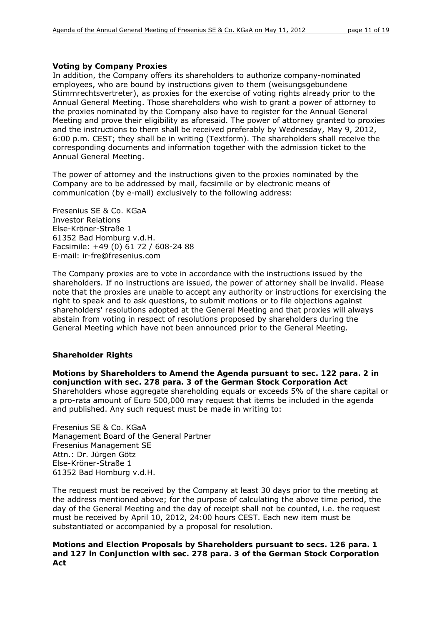### *Voting by Company Proxies*

In addition, the Company offers its shareholders to authorize company-nominated employees, who are bound by instructions given to them (*weisungsgebundene Stimmrechtsvertreter*), as proxies for the exercise of voting rights already prior to the Annual General Meeting. Those shareholders who wish to grant a power of attorney to the proxies nominated by the Company also have to register for the Annual General Meeting and prove their eligibility as aforesaid. The power of attorney granted to proxies and the instructions to them shall be received preferably by Wednesday, May 9, 2012, 6:00 p.m. CEST; they shall be in writing (*Textform*). The shareholders shall receive the corresponding documents and information together with the admission ticket to the Annual General Meeting.

The power of attorney and the instructions given to the proxies nominated by the Company are to be addressed by mail, facsimile or by electronic means of communication (by e-mail) exclusively to the following address:

Fresenius SE & Co. KGaA Investor Relations Else-Kröner-Straße 1 61352 Bad Homburg v.d.H. Facsimile: +49 (0) 61 72 / 608-24 88 E-mail: ir-fre@fresenius.com

The Company proxies are to vote in accordance with the instructions issued by the shareholders. If no instructions are issued, the power of attorney shall be invalid. Please note that the proxies are unable to accept any authority or instructions for exercising the right to speak and to ask questions, to submit motions or to file objections against shareholders' resolutions adopted at the General Meeting and that proxies will always abstain from voting in respect of resolutions proposed by shareholders during the General Meeting which have not been announced prior to the General Meeting.

# **Shareholder Rights**

*Motions by Shareholders to Amend the Agenda pursuant to sec. 122 para. 2 in conjunction with sec. 278 para. 3 of the German Stock Corporation Act*  Shareholders whose aggregate shareholding equals or exceeds 5% of the share capital or a pro-rata amount of Euro 500,000 may request that items be included in the agenda and published. Any such request must be made in writing to:

Fresenius SE & Co. KGaA Management Board of the General Partner Fresenius Management SE Attn.: Dr. Jürgen Götz Else-Kröner-Straße 1 61352 Bad Homburg v.d.H.

The request must be received by the Company at least 30 days prior to the meeting at the address mentioned above; for the purpose of calculating the above time period, the day of the General Meeting and the day of receipt shall not be counted, i.e. the request must be received by April 10, 2012, 24:00 hours CEST. Each new item must be substantiated or accompanied by a proposal for resolution*.*

### *Motions and Election Proposals by Shareholders pursuant to secs. 126 para. 1 and 127 in Conjunction with sec. 278 para. 3 of the German Stock Corporation Act*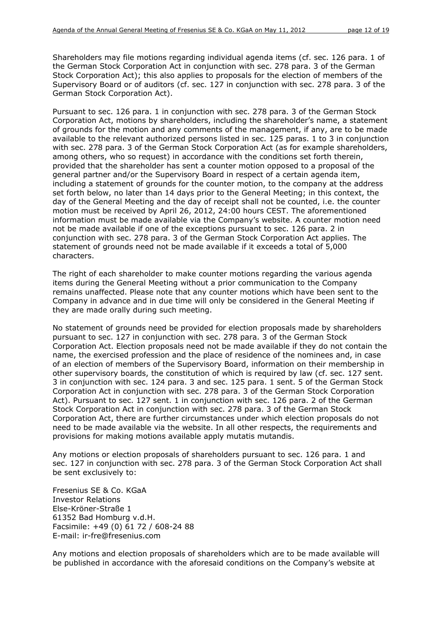Shareholders may file motions regarding individual agenda items (cf. sec. 126 para. 1 of the German Stock Corporation Act in conjunction with sec. 278 para. 3 of the German Stock Corporation Act); this also applies to proposals for the election of members of the Supervisory Board or of auditors (cf. sec. 127 in conjunction with sec. 278 para. 3 of the German Stock Corporation Act).

Pursuant to sec. 126 para. 1 in conjunction with sec. 278 para. 3 of the German Stock Corporation Act, motions by shareholders, including the shareholder's name, a statement of grounds for the motion and any comments of the management, if any, are to be made available to the relevant authorized persons listed in sec. 125 paras. 1 to 3 in conjunction with sec. 278 para. 3 of the German Stock Corporation Act (as for example shareholders, among others, who so request) in accordance with the conditions set forth therein, provided that the shareholder has sent a counter motion opposed to a proposal of the general partner and/or the Supervisory Board in respect of a certain agenda item, including a statement of grounds for the counter motion, to the company at the address set forth below, no later than 14 days prior to the General Meeting; in this context, the day of the General Meeting and the day of receipt shall not be counted, i.e. the counter motion must be received by April 26, 2012, 24:00 hours CEST. The aforementioned information must be made available via the Company's website. A counter motion need not be made available if one of the exceptions pursuant to sec. 126 para. 2 in conjunction with sec. 278 para. 3 of the German Stock Corporation Act applies. The statement of grounds need not be made available if it exceeds a total of 5,000 characters.

The right of each shareholder to make counter motions regarding the various agenda items during the General Meeting without a prior communication to the Company remains unaffected. Please note that any counter motions which have been sent to the Company in advance and in due time will only be considered in the General Meeting if they are made orally during such meeting.

No statement of grounds need be provided for election proposals made by shareholders pursuant to sec. 127 in conjunction with sec. 278 para. 3 of the German Stock Corporation Act. Election proposals need not be made available if they do not contain the name, the exercised profession and the place of residence of the nominees and, in case of an election of members of the Supervisory Board, information on their membership in other supervisory boards, the constitution of which is required by law (cf. sec. 127 sent. 3 in conjunction with sec. 124 para. 3 and sec. 125 para. 1 sent. 5 of the German Stock Corporation Act in conjunction with sec. 278 para. 3 of the German Stock Corporation Act). Pursuant to sec. 127 sent. 1 in conjunction with sec. 126 para. 2 of the German Stock Corporation Act in conjunction with sec. 278 para. 3 of the German Stock Corporation Act, there are further circumstances under which election proposals do not need to be made available via the website. In all other respects, the requirements and provisions for making motions available apply mutatis mutandis.

Any motions or election proposals of shareholders pursuant to sec. 126 para. 1 and sec. 127 in conjunction with sec. 278 para. 3 of the German Stock Corporation Act shall be sent exclusively to:

Fresenius SE & Co. KGaA Investor Relations Else-Kröner-Straße 1 61352 Bad Homburg v.d.H. Facsimile: +49 (0) 61 72 / 608-24 88 E-mail: ir-fre@fresenius.com

Any motions and election proposals of shareholders which are to be made available will be published in accordance with the aforesaid conditions on the Company's website at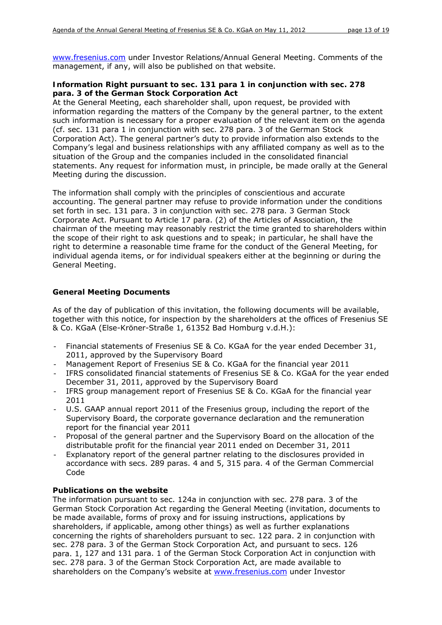[www.fresenius.com](http://www.fresenius.com/) under Investor Relations/Annual General Meeting. Comments of the management, if any, will also be published on that website.

# *Information Right pursuant to sec. 131 para 1 in conjunction with sec. 278 para. 3 of the German Stock Corporation Act*

At the General Meeting, each shareholder shall, upon request, be provided with information regarding the matters of the Company by the general partner, to the extent such information is necessary for a proper evaluation of the relevant item on the agenda (cf. sec. 131 para 1 in conjunction with sec. 278 para. 3 of the German Stock Corporation Act). The general partner's duty to provide information also extends to the Company's legal and business relationships with any affiliated company as well as to the situation of the Group and the companies included in the consolidated financial statements. Any request for information must, in principle, be made orally at the General Meeting during the discussion.

The information shall comply with the principles of conscientious and accurate accounting. The general partner may refuse to provide information under the conditions set forth in sec. 131 para. 3 in conjunction with sec. 278 para. 3 German Stock Corporate Act. Pursuant to Article 17 para. (2) of the Articles of Association, the chairman of the meeting may reasonably restrict the time granted to shareholders within the scope of their right to ask questions and to speak; in particular, he shall have the right to determine a reasonable time frame for the conduct of the General Meeting, for individual agenda items, or for individual speakers either at the beginning or during the General Meeting.

# **General Meeting Documents**

As of the day of publication of this invitation, the following documents will be available, together with this notice, for inspection by the shareholders at the offices of Fresenius SE & Co. KGaA (Else-Kröner-Straße 1, 61352 Bad Homburg v.d.H.):

- Financial statements of Fresenius SE & Co. KGaA for the year ended December 31, 2011, approved by the Supervisory Board
- Management Report of Fresenius SE & Co. KGaA for the financial year 2011
- IFRS consolidated financial statements of Fresenius SE & Co. KGaA for the year ended December 31, 2011, approved by the Supervisory Board
- IFRS group management report of Fresenius SE & Co. KGaA for the financial year 2011
- U.S. GAAP annual report 2011 of the Fresenius group, including the report of the Supervisory Board, the corporate governance declaration and the remuneration report for the financial year 2011
- Proposal of the general partner and the Supervisory Board on the allocation of the distributable profit for the financial year 2011 ended on December 31, 2011
- Explanatory report of the general partner relating to the disclosures provided in accordance with secs. 289 paras. 4 and 5, 315 para. 4 of the German Commercial Code

# **Publications on the website**

The information pursuant to sec. 124a in conjunction with sec. 278 para. 3 of the German Stock Corporation Act regarding the General Meeting (invitation, documents to be made available, forms of proxy and for issuing instructions, applications by shareholders, if applicable, among other things) as well as further explanations concerning the rights of shareholders pursuant to sec. 122 para. 2 in conjunction with sec. 278 para. 3 of the German Stock Corporation Act, and pursuant to secs. 126 para. 1, 127 and 131 para. 1 of the German Stock Corporation Act in conjunction with sec. 278 para. 3 of the German Stock Corporation Act, are made available to shareholders on the Company's website at [www.fresenius.com](http://www.fresenius.com/) under Investor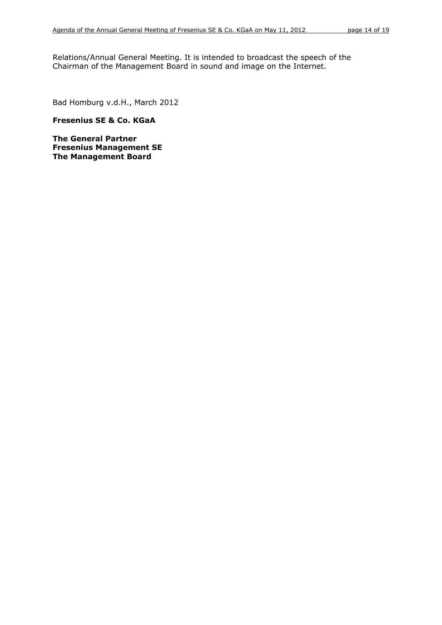Relations/Annual General Meeting. It is intended to broadcast the speech of the Chairman of the Management Board in sound and image on the Internet.

Bad Homburg v.d.H., March 2012

**Fresenius SE & Co. KGaA** 

**The General Partner Fresenius Management SE The Management Board**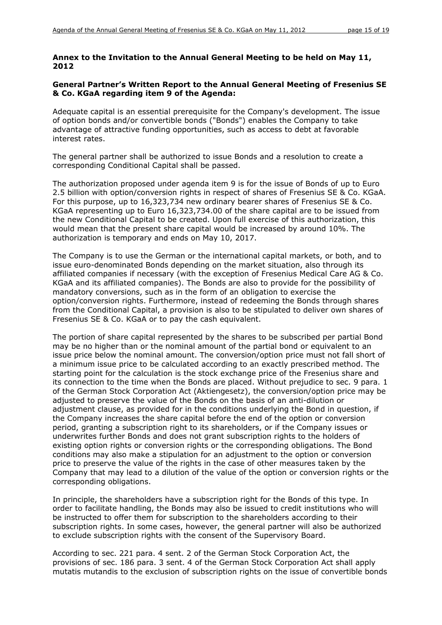# **Annex to the Invitation to the Annual General Meeting to be held on May 11, 2012**

# **General Partner's Written Report to the Annual General Meeting of Fresenius SE & Co. KGaA regarding item 9 of the Agenda:**

Adequate capital is an essential prerequisite for the Company's development. The issue of option bonds and/or convertible bonds ("Bonds") enables the Company to take advantage of attractive funding opportunities, such as access to debt at favorable interest rates.

The general partner shall be authorized to issue Bonds and a resolution to create a corresponding Conditional Capital shall be passed.

The authorization proposed under agenda item 9 is for the issue of Bonds of up to Euro 2.5 billion with option/conversion rights in respect of shares of Fresenius SE & Co. KGaA. For this purpose, up to 16,323,734 new ordinary bearer shares of Fresenius SE & Co. KGaA representing up to Euro 16,323,734.00 of the share capital are to be issued from the new Conditional Capital to be created. Upon full exercise of this authorization, this would mean that the present share capital would be increased by around 10%. The authorization is temporary and ends on May 10, 2017.

The Company is to use the German or the international capital markets, or both, and to issue euro-denominated Bonds depending on the market situation, also through its affiliated companies if necessary (with the exception of Fresenius Medical Care AG & Co. KGaA and its affiliated companies). The Bonds are also to provide for the possibility of mandatory conversions, such as in the form of an obligation to exercise the option/conversion rights. Furthermore, instead of redeeming the Bonds through shares from the Conditional Capital, a provision is also to be stipulated to deliver own shares of Fresenius SE & Co. KGaA or to pay the cash equivalent.

The portion of share capital represented by the shares to be subscribed per partial Bond may be no higher than or the nominal amount of the partial bond or equivalent to an issue price below the nominal amount. The conversion/option price must not fall short of a minimum issue price to be calculated according to an exactly prescribed method. The starting point for the calculation is the stock exchange price of the Fresenius share and its connection to the time when the Bonds are placed. Without prejudice to sec. 9 para. 1 of the German Stock Corporation Act (*Aktiengesetz*), the conversion/option price may be adjusted to preserve the value of the Bonds on the basis of an anti-dilution or adjustment clause, as provided for in the conditions underlying the Bond in question, if the Company increases the share capital before the end of the option or conversion period, granting a subscription right to its shareholders, or if the Company issues or underwrites further Bonds and does not grant subscription rights to the holders of existing option rights or conversion rights or the corresponding obligations. The Bond conditions may also make a stipulation for an adjustment to the option or conversion price to preserve the value of the rights in the case of other measures taken by the Company that may lead to a dilution of the value of the option or conversion rights or the corresponding obligations.

In principle, the shareholders have a subscription right for the Bonds of this type. In order to facilitate handling, the Bonds may also be issued to credit institutions who will be instructed to offer them for subscription to the shareholders according to their subscription rights. In some cases, however, the general partner will also be authorized to exclude subscription rights with the consent of the Supervisory Board.

According to sec. 221 para. 4 sent. 2 of the German Stock Corporation Act, the provisions of sec. 186 para. 3 sent. 4 of the German Stock Corporation Act shall apply mutatis mutandis to the exclusion of subscription rights on the issue of convertible bonds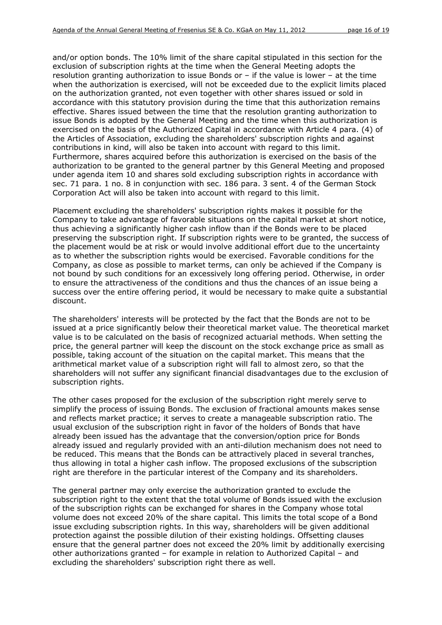and/or option bonds. The 10% limit of the share capital stipulated in this section for the exclusion of subscription rights at the time when the General Meeting adopts the resolution granting authorization to issue Bonds or – if the value is lower – at the time when the authorization is exercised, will not be exceeded due to the explicit limits placed on the authorization granted, not even together with other shares issued or sold in accordance with this statutory provision during the time that this authorization remains effective. Shares issued between the time that the resolution granting authorization to issue Bonds is adopted by the General Meeting and the time when this authorization is exercised on the basis of the Authorized Capital in accordance with Article 4 para. (4) of the Articles of Association, excluding the shareholders' subscription rights and against contributions in kind, will also be taken into account with regard to this limit. Furthermore, shares acquired before this authorization is exercised on the basis of the authorization to be granted to the general partner by this General Meeting and proposed under agenda item 10 and shares sold excluding subscription rights in accordance with sec. 71 para. 1 no. 8 in conjunction with sec. 186 para. 3 sent. 4 of the German Stock Corporation Act will also be taken into account with regard to this limit.

Placement excluding the shareholders' subscription rights makes it possible for the Company to take advantage of favorable situations on the capital market at short notice, thus achieving a significantly higher cash inflow than if the Bonds were to be placed preserving the subscription right. If subscription rights were to be granted, the success of the placement would be at risk or would involve additional effort due to the uncertainty as to whether the subscription rights would be exercised. Favorable conditions for the Company, as close as possible to market terms, can only be achieved if the Company is not bound by such conditions for an excessively long offering period. Otherwise, in order to ensure the attractiveness of the conditions and thus the chances of an issue being a success over the entire offering period, it would be necessary to make quite a substantial discount.

The shareholders' interests will be protected by the fact that the Bonds are not to be issued at a price significantly below their theoretical market value. The theoretical market value is to be calculated on the basis of recognized actuarial methods. When setting the price, the general partner will keep the discount on the stock exchange price as small as possible, taking account of the situation on the capital market. This means that the arithmetical market value of a subscription right will fall to almost zero, so that the shareholders will not suffer any significant financial disadvantages due to the exclusion of subscription rights.

The other cases proposed for the exclusion of the subscription right merely serve to simplify the process of issuing Bonds. The exclusion of fractional amounts makes sense and reflects market practice; it serves to create a manageable subscription ratio. The usual exclusion of the subscription right in favor of the holders of Bonds that have already been issued has the advantage that the conversion/option price for Bonds already issued and regularly provided with an anti-dilution mechanism does not need to be reduced. This means that the Bonds can be attractively placed in several tranches, thus allowing in total a higher cash inflow. The proposed exclusions of the subscription right are therefore in the particular interest of the Company and its shareholders.

The general partner may only exercise the authorization granted to exclude the subscription right to the extent that the total volume of Bonds issued with the exclusion of the subscription rights can be exchanged for shares in the Company whose total volume does not exceed 20% of the share capital. This limits the total scope of a Bond issue excluding subscription rights. In this way, shareholders will be given additional protection against the possible dilution of their existing holdings. Offsetting clauses ensure that the general partner does not exceed the 20% limit by additionally exercising other authorizations granted – for example in relation to Authorized Capital – and excluding the shareholders' subscription right there as well.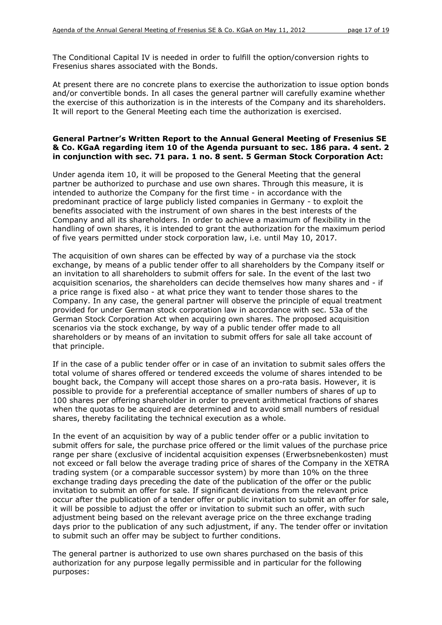The Conditional Capital IV is needed in order to fulfill the option/conversion rights to Fresenius shares associated with the Bonds.

At present there are no concrete plans to exercise the authorization to issue option bonds and/or convertible bonds. In all cases the general partner will carefully examine whether the exercise of this authorization is in the interests of the Company and its shareholders. It will report to the General Meeting each time the authorization is exercised.

### **General Partner's Written Report to the Annual General Meeting of Fresenius SE & Co. KGaA regarding item 10 of the Agenda pursuant to sec. 186 para. 4 sent. 2 in conjunction with sec. 71 para. 1 no. 8 sent. 5 German Stock Corporation Act:**

Under agenda item 10, it will be proposed to the General Meeting that the general partner be authorized to purchase and use own shares. Through this measure, it is intended to authorize the Company for the first time - in accordance with the predominant practice of large publicly listed companies in Germany - to exploit the benefits associated with the instrument of own shares in the best interests of the Company and all its shareholders. In order to achieve a maximum of flexibility in the handling of own shares, it is intended to grant the authorization for the maximum period of five years permitted under stock corporation law, i.e. until May 10, 2017.

The acquisition of own shares can be effected by way of a purchase via the stock exchange, by means of a public tender offer to all shareholders by the Company itself or an invitation to all shareholders to submit offers for sale. In the event of the last two acquisition scenarios, the shareholders can decide themselves how many shares and - if a price range is fixed also - at what price they want to tender those shares to the Company. In any case, the general partner will observe the principle of equal treatment provided for under German stock corporation law in accordance with sec. 53a of the German Stock Corporation Act when acquiring own shares. The proposed acquisition scenarios via the stock exchange, by way of a public tender offer made to all shareholders or by means of an invitation to submit offers for sale all take account of that principle.

If in the case of a public tender offer or in case of an invitation to submit sales offers the total volume of shares offered or tendered exceeds the volume of shares intended to be bought back, the Company will accept those shares on a pro-rata basis. However, it is possible to provide for a preferential acceptance of smaller numbers of shares of up to 100 shares per offering shareholder in order to prevent arithmetical fractions of shares when the quotas to be acquired are determined and to avoid small numbers of residual shares, thereby facilitating the technical execution as a whole.

In the event of an acquisition by way of a public tender offer or a public invitation to submit offers for sale, the purchase price offered or the limit values of the purchase price range per share (exclusive of incidental acquisition expenses *(Erwerbsnebenkosten)* must not exceed or fall below the average trading price of shares of the Company in the XETRA trading system (or a comparable successor system) by more than 10% on the three exchange trading days preceding the date of the publication of the offer or the public invitation to submit an offer for sale. If significant deviations from the relevant price occur after the publication of a tender offer or public invitation to submit an offer for sale, it will be possible to adjust the offer or invitation to submit such an offer, with such adjustment being based on the relevant average price on the three exchange trading days prior to the publication of any such adjustment, if any. The tender offer or invitation to submit such an offer may be subject to further conditions.

The general partner is authorized to use own shares purchased on the basis of this authorization for any purpose legally permissible and in particular for the following purposes: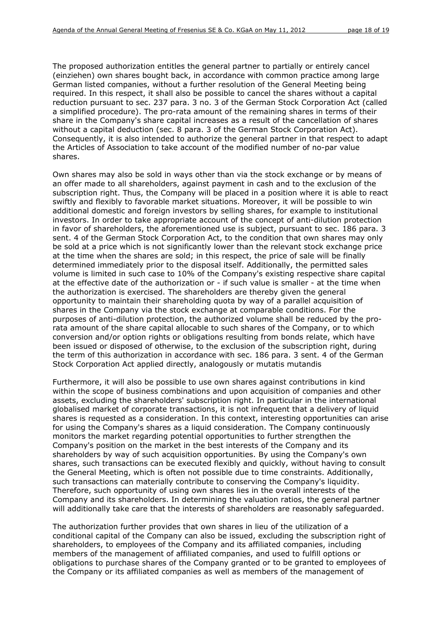The proposed authorization entitles the general partner to partially or entirely cancel (*einziehen*) own shares bought back, in accordance with common practice among large German listed companies, without a further resolution of the General Meeting being required. In this respect, it shall also be possible to cancel the shares without a capital reduction pursuant to sec. 237 para. 3 no. 3 of the German Stock Corporation Act (called a simplified procedure). The pro-rata amount of the remaining shares in terms of their share in the Company's share capital increases as a result of the cancellation of shares without a capital deduction (sec. 8 para. 3 of the German Stock Corporation Act). Consequently, it is also intended to authorize the general partner in that respect to adapt the Articles of Association to take account of the modified number of no-par value shares.

Own shares may also be sold in ways other than via the stock exchange or by means of an offer made to all shareholders, against payment in cash and to the exclusion of the subscription right. Thus, the Company will be placed in a position where it is able to react swiftly and flexibly to favorable market situations. Moreover, it will be possible to win additional domestic and foreign investors by selling shares, for example to institutional investors. In order to take appropriate account of the concept of anti-dilution protection in favor of shareholders, the aforementioned use is subject, pursuant to sec. 186 para. 3 sent. 4 of the German Stock Corporation Act, to the condition that own shares may only be sold at a price which is not significantly lower than the relevant stock exchange price at the time when the shares are sold; in this respect, the price of sale will be finally determined immediately prior to the disposal itself. Additionally, the permitted sales volume is limited in such case to 10% of the Company's existing respective share capital at the effective date of the authorization or - if such value is smaller - at the time when the authorization is exercised. The shareholders are thereby given the general opportunity to maintain their shareholding quota by way of a parallel acquisition of shares in the Company via the stock exchange at comparable conditions. For the purposes of anti-dilution protection, the authorized volume shall be reduced by the prorata amount of the share capital allocable to such shares of the Company, or to which conversion and/or option rights or obligations resulting from bonds relate, which have been issued or disposed of otherwise, to the exclusion of the subscription right, during the term of this authorization in accordance with sec. 186 para. 3 sent. 4 of the German Stock Corporation Act applied directly, analogously or mutatis mutandis

Furthermore, it will also be possible to use own shares against contributions in kind within the scope of business combinations and upon acquisition of companies and other assets, excluding the shareholders' subscription right. In particular in the international globalised market of corporate transactions, it is not infrequent that a delivery of liquid shares is requested as a consideration. In this context, interesting opportunities can arise for using the Company's shares as a liquid consideration. The Company continuously monitors the market regarding potential opportunities to further strengthen the Company's position on the market in the best interests of the Company and its shareholders by way of such acquisition opportunities. By using the Company's own shares, such transactions can be executed flexibly and quickly, without having to consult the General Meeting, which is often not possible due to time constraints. Additionally, such transactions can materially contribute to conserving the Company's liquidity. Therefore, such opportunity of using own shares lies in the overall interests of the Company and its shareholders. In determining the valuation ratios, the general partner will additionally take care that the interests of shareholders are reasonably safeguarded.

The authorization further provides that own shares in lieu of the utilization of a conditional capital of the Company can also be issued, excluding the subscription right of shareholders, to employees of the Company and its affiliated companies, including members of the management of affiliated companies, and used to fulfill options or obligations to purchase shares of the Company granted or to be granted to employees of the Company or its affiliated companies as well as members of the management of